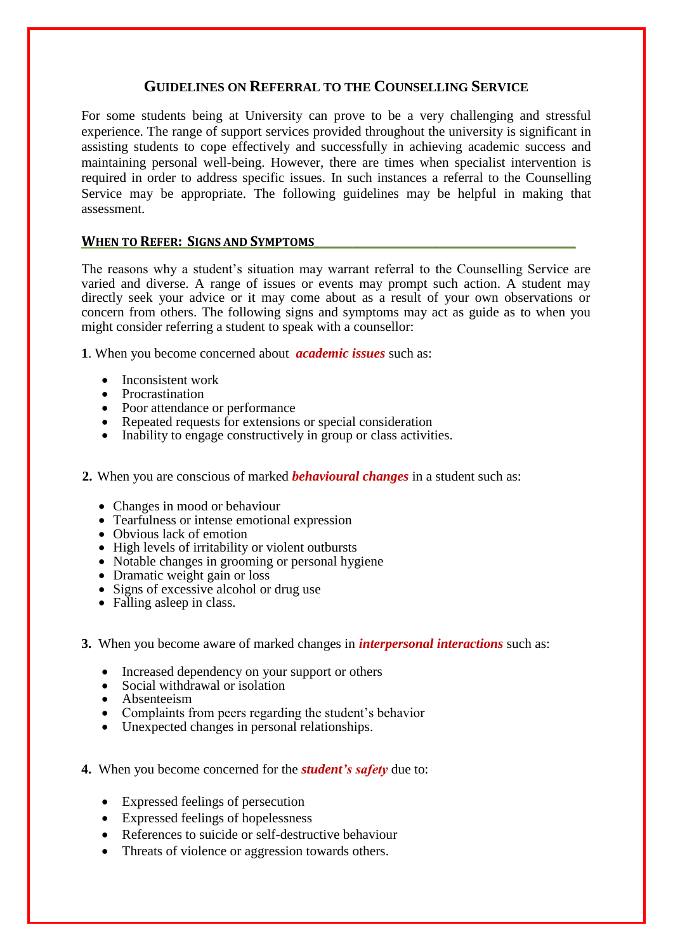### **GUIDELINES ON REFERRAL TO THE COUNSELLING SERVICE**

For some students being at University can prove to be a very challenging and stressful experience. The range of support services provided throughout the university is significant in assisting students to cope effectively and successfully in achieving academic success and maintaining personal well-being. However, there are times when specialist intervention is required in order to address specific issues. In such instances a referral to the Counselling Service may be appropriate. The following guidelines may be helpful in making that assessment.

#### WHEN TO REFER: SIGNS AND SYMPTOMS

The reasons why a student's situation may warrant referral to the Counselling Service are varied and diverse. A range of issues or events may prompt such action. A student may directly seek your advice or it may come about as a result of your own observations or concern from others. The following signs and symptoms may act as guide as to when you might consider referring a student to speak with a counsellor:

**1**. When you become concerned about *academic issues* such as:

- Inconsistent work
- Procrastination
- Poor attendance or performance
- Repeated requests for extensions or special consideration<br>• Inability to engage constructively in group or class activity
- Inability to engage constructively in group or class activities.
- **2.** When you are conscious of marked *behavioural changes* in a student such as:
	- Changes in mood or behaviour
	- Tearfulness or intense emotional expression
	- Obvious lack of emotion
	- High levels of irritability or violent outbursts
	- Notable changes in grooming or personal hygiene
	- Dramatic weight gain or loss
	- Signs of excessive alcohol or drug use
	- Falling asleep in class.
- **3.** When you become aware of marked changes in *interpersonal interactions* such as:
	- Increased dependency on your support or others<br>• Social withdrawal or isolation
	- Social withdrawal or isolation
	- Absenteeism
	- Complaints from peers regarding the student's behavior
	- Unexpected changes in personal relationships.
- **4.** When you become concerned for the *student's safety* due to:
	- Expressed feelings of persecution
	- Expressed feelings of hopelessness
	- References to suicide or self-destructive behaviour
	- Threats of violence or aggression towards others.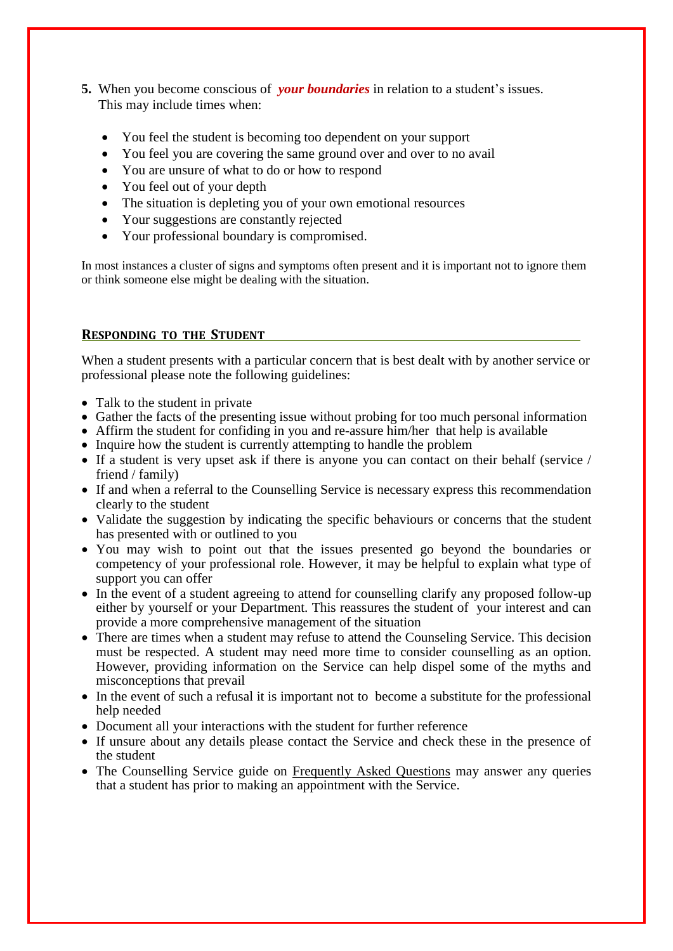- **5.** When you become conscious of *your boundaries* in relation to a student's issues. This may include times when:
	- You feel the student is becoming too dependent on your support
	- You feel you are covering the same ground over and over to no avail
	- You are unsure of what to do or how to respond
	- You feel out of your depth
	- The situation is depleting you of your own emotional resources
	- Your suggestions are constantly rejected
	- Your professional boundary is compromised.

In most instances a cluster of signs and symptoms often present and it is important not to ignore them or think someone else might be dealing with the situation.

### **RESPONDING TO THE STUDENT**

When a student presents with a particular concern that is best dealt with by another service or professional please note the following guidelines:

- Talk to the student in private
- Gather the facts of the presenting issue without probing for too much personal information
- Affirm the student for confiding in you and re-assure him/her that help is available
- Inquire how the student is currently attempting to handle the problem
- If a student is very upset ask if there is anyone you can contact on their behalf (service / friend / family)
- If and when a referral to the Counselling Service is necessary express this recommendation clearly to the student
- Validate the suggestion by indicating the specific behaviours or concerns that the student has presented with or outlined to you
- You may wish to point out that the issues presented go beyond the boundaries or competency of your professional role. However, it may be helpful to explain what type of support you can offer
- In the event of a student agreeing to attend for counselling clarify any proposed follow-up either by yourself or your Department. This reassures the student of your interest and can provide a more comprehensive management of the situation
- There are times when a student may refuse to attend the Counseling Service. This decision must be respected. A student may need more time to consider counselling as an option. However, providing information on the Service can help dispel some of the myths and misconceptions that prevail
- In the event of such a refusal it is important not to become a substitute for the professional help needed
- Document all your interactions with the student for further reference
- If unsure about any details please contact the Service and check these in the presence of the student
- The Counselling Service guide on Frequently Asked Questions may answer any queries that a student has prior to making an appointment with the Service.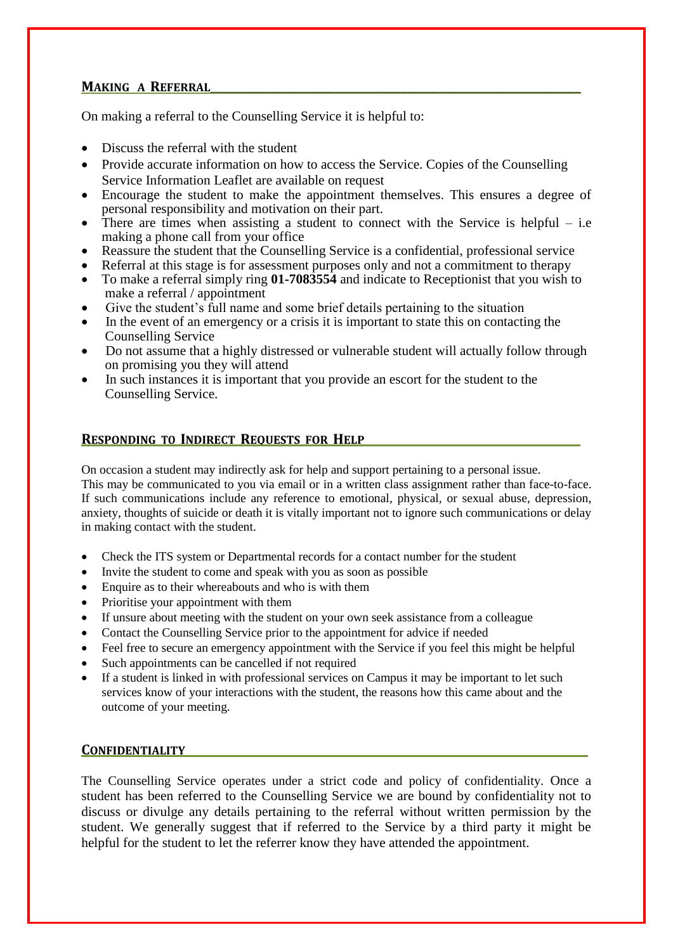# **MAKING A REFERRAL\_\_\_\_\_\_\_\_\_\_\_\_\_\_\_\_\_\_\_\_\_\_\_\_\_\_\_\_\_\_\_\_\_\_\_\_\_\_\_\_\_\_\_\_\_\_\_\_\_\_\_\_\_\_\_\_\_\_\_\_\_\_\_\_\_\_\_\_**

On making a referral to the Counselling Service it is helpful to:

- Discuss the referral with the student
- Provide accurate information on how to access the Service. Copies of the Counselling Service Information Leaflet are available on request
- Encourage the student to make the appointment themselves. This ensures a degree of personal responsibility and motivation on their part.
- There are times when assisting a student to connect with the Service is helpful i.e making a phone call from your office
- Reassure the student that the Counselling Service is a confidential, professional service
- Referral at this stage is for assessment purposes only and not a commitment to therapy
- To make a referral simply ring **01-7083554** and indicate to Receptionist that you wish to make a referral / appointment
- Give the student's full name and some brief details pertaining to the situation
- In the event of an emergency or a crisis it is important to state this on contacting the Counselling Service
- Do not assume that a highly distressed or vulnerable student will actually follow through on promising you they will attend
- In such instances it is important that you provide an escort for the student to the Counselling Service.

# **RESPONDING TO INDIRECT REOUESTS FOR HELP**

On occasion a student may indirectly ask for help and support pertaining to a personal issue.

This may be communicated to you via email or in a written class assignment rather than face-to-face. If such communications include any reference to emotional, physical, or sexual abuse, depression, anxiety, thoughts of suicide or death it is vitally important not to ignore such communications or delay in making contact with the student.

- Check the ITS system or Departmental records for a contact number for the student
- Invite the student to come and speak with you as soon as possible
- Enquire as to their whereabouts and who is with them
- Prioritise your appointment with them
- If unsure about meeting with the student on your own seek assistance from a colleague
- Contact the Counselling Service prior to the appointment for advice if needed
- Feel free to secure an emergency appointment with the Service if you feel this might be helpful
- Such appointments can be cancelled if not required
- If a student is linked in with professional services on Campus it may be important to let such services know of your interactions with the student, the reasons how this came about and the outcome of your meeting.

# **CONFIDENTIALITY\_\_\_\_\_\_\_\_\_\_\_\_\_\_\_\_\_\_\_\_\_\_\_\_\_\_\_\_\_\_\_\_\_\_\_\_\_\_\_\_\_\_\_\_\_\_\_\_\_\_\_\_\_\_\_\_\_\_\_\_\_\_\_\_\_\_\_\_\_\_\_\_\_\_**

The Counselling Service operates under a strict code and policy of confidentiality. Once a student has been referred to the Counselling Service we are bound by confidentiality not to discuss or divulge any details pertaining to the referral without written permission by the student. We generally suggest that if referred to the Service by a third party it might be helpful for the student to let the referrer know they have attended the appointment.